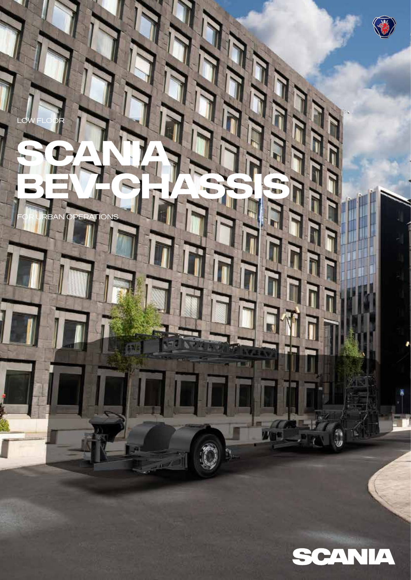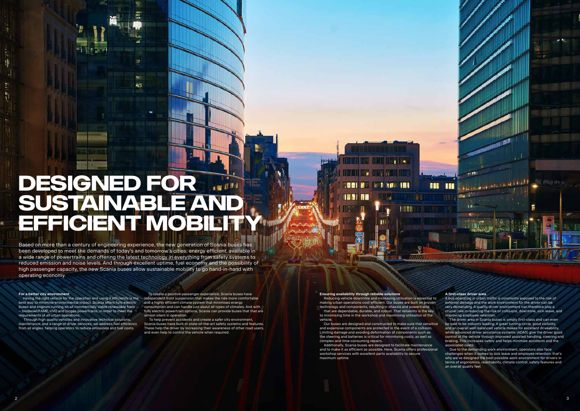#### **For a better city environment**

Having the right vehicle for the operation and using it efficiently is the best way to minimise environmental impact. Scania offers fully electric buses and engines running on all commercially viable renewable fuels – biodiesel/FAME, HVO and biogas powertrains, in order to meet the requirements of all urban operations.

 Through high quality vehicles and innovative technical solutions, maintenance, and a range of driver services, we address fuel efficiency from all angles, helping operators to reduce emissions and fuel costs.

To create a positive passenger experience, Scania buses have independent front suspension that makes the ride more comfortable and a highly efficient climate system that minimises energy consumption and can handle just about all types of climates. And with fully electric powertrain options, Scania can provide buses that that are almost silent in operation.

 To help prevent accidents and create a safer city environment, Scania buses have built-in state-of-the-art safety systems and features. These help the driver by increasing their awareness of other road users and even help to control the vehicle when required.

Based on more than a century of engineering experience, the new generation of Scania buses has been developed to meet the demands of today's and tomorrow's cities; energy efficient, available in a wide range of powertrains and offering the latest technology in everything from safety systems to reduced emission and noise levels. And through excellent uptime, fuel economy and the possibility of high passenger capacity, the new Scania buses allow sustainable mobility to go hand-in-hand with operating economy.

# **DESIGNED FOR SUSTAINABLE AND EFFICIENT MOBILITY**

**ACT** 

The driver area in Scania buses is simply first-class and can even be said to be industry leading. A great turning circle, good visibility, and an overall well-balanced vehicle makes for excellent driveability, while advanced driver assistance systems (ADAS) give the driver good control of the vehicle through improved assisted handling, steering and braking. This increases safety and helps minimise accidents and the associated costs.

#### **Ensuring availability through reliable solutions**

n E sin n n

Reducing vehicle downtime and increasing utilisation is essential to making urban operations cost-efficient. Our buses are built on proven technology and components, resulting in chassis and powertrains that are dependable, durable, and robust. That reliability is the key to minimising time in the workshop and maximising utilisation of the vehicle.

**DEEL E DIE BIJ BEELDEEL** 

Our buses are designed and constructed to make sure that sensitive and expensive components are protected in the event of a collision. Limiting damage and avoiding deformation of components such as the steering and batteries is critical for minimising costs, as well as complex and time-consuming repairs.

Additionally, Scania buses are designed to facilitate maintenance and to make it as efficient as possible. Here, Scania offers professional workshop services with excellent parts availability to secure maximum uptime.

#### **A first-class driver area**

日本語 **WELL** 

ALL 110

,,,,,,

A bus operating in urban traffic is constantly exposed to the risk of external damage and the work environment for the driver can be very demanding. A quality driver environment can therefore play a crucial role in reducing the risk of collisions, downtime, sick-leave, and improving employee retention.

**Bay indicated in the continuity of the set of the continuity** 

 Due to the demanding work environment, operators also face challenges when it comes to sick leave and employee retention; that's why we've designed the best possible work environment for drivers in terms of ergonomics, reachability, climate control, safety features and an overall quality feel.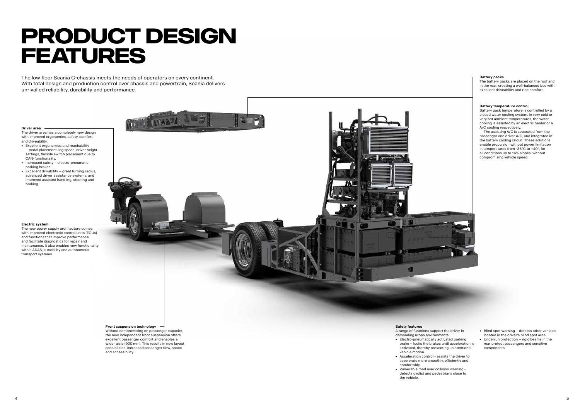#### **Driver area**

- The driver area has a completely new design with improved ergonomics, safety, comfort, and driveability.
- Excellent ergonomics and reachability
- pedal placement, leg space, driver height settings, flexible switch placement due to CAN-functionality.
- Increased safety electro-pneumatic parking brakes.
- Excellent drivability great turning radius, advanced driver assistance systems, and improved assisted handling, steering and braking.

#### **Front suspension technology**

Without compromising on passenger capacity, the new independent front suspension offers excellent passenger comfort and enables a wider aisle (900 mm). This results in new layout possibilities, increased passenger flow, space and accessibility.

#### **Battery packs**

The battery packs are placed on the roof and in the rear, creating a well-balanced bus with excellent driveability and ride comfort.

#### **Safety features**

- A range of functions support the driver in demanding urban environments. • Electro-pneumatically activated parking
- brake locks the brakes until acceleration is activated, thereby preventing unintentional vehicle motion.
- accelerate more smoothly, efficiently and comfortably.
- Vulnerable road user collision warning detects cyclist and pedestrians close to the vehicle.

#### **Electric system**

The new power supply architecture comes with improved electronic control units (ECUs) and functions that improve performance and facilitate diagnostics for repair and maintenance. It also enables new functionality within ADAS, e-mobility and autonomous transport systems.

# **PRODUCT DESIGN FEATURES**

The low floor Scania C-chassis meets the needs of operators on every continent. With total design and production control over chassis and powertrain, Scania delivers unrivalled reliability, durability and performance.

- Blind spot warning detects other vehicles located in the driver's blind spot area.
- Underrun protection rigid beams in the
- rear protect passengers and sensitive components.
- 
- 
- Acceleration control assists the driver to
	-

#### **Battery temperature control**

Battery pack temperature is controlled by a closed water cooling system. In very cold or very hot ambient temperatures, the water cooling is assisted by an electric heater or a A/C cooling respectively.

The assisting A/C is separated from the passenger and driver A/C, and integrated in the battery cooling circuit. These solutions enable propulsion without power limitation in temperatures from -35°C to +40°, for all conditions up to 16% slopes, without compromising vehicle speed.

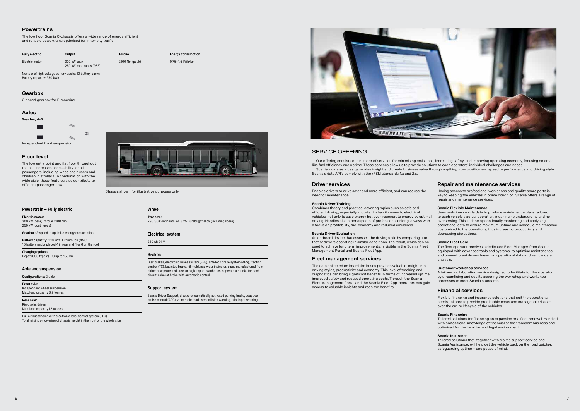## **Powertrains**

The low floor Scania C-chassis offers a wide range of energy efficient and reliable powertrains optimised for inner-city traffic.

## **Axles**

## **Gearbox**

2-speed gearbox for E-machine

## **Floor level**

The low entry point and flat floor throughout the bus increases accessibility for all passengers, including wheelchair users and children in strollers. In combination with the wide aisle, these features also contribute to efficient passenger flow.

| <b>Fully electric</b> | Output                                 | Torque         | <b>Energy consumption</b> |
|-----------------------|----------------------------------------|----------------|---------------------------|
| Electric motor        | 300 kW peak<br>250 kW continuous (R85) | 2100 Nm (peak) | 0.75-1.5 kWh/km           |

Independent wheel suspension Max. load capacity 8.2 tonnes

Number of high-voltage battery packs: 10 battery packs Battery capacity: 330 kWh



## **Powertrain – Fully electric**

300 kW (peak), torque 2100 Nm 250 kW (continuous)

**Gearbox:** 2-speed to optimise energy consumption

**Battery capacity:** 330 kWh, Lithium-Ion (NMC) 10 battery packs placed 4 in rear and 4 or 6 on the roof.

**Charging options:** Depot (CCS type 2): DC up to 150 kW

### **Axle and suspension**

**Configurations:** 2-axle

## **Front axle:**

#### **Rear axle:** Rigid axle, driven

Max. load capacity 12 tonnes

Full air suspension with electronic level control system (ELC) Total raising or lowering of chassis height in the front or the whole side

## **Wheel**

**Tyre size:**  295/80 Continental on 8.25 Durabright alloy (including spare)

## **Electrical system**

230 Ah 24 V

## **Brakes**

Disc brakes, electronic brake system (EBS), anti-lock brake system (ABS), traction control (TC), bus stop brake, hill-hold, pad wear indicator, pipes manufactured from either rust-protected steel or high impact synthetics, seperate air tanks for each circuit, exhaust brake with automatic control

## **Support system**

Scania Driver Support, electro-pneumatically activated parking brake, adaptive cruise control (ACC), vulnerable road user collision warning, blind spot warning



## SERVICE OFFERING

Chassis shown for illustrative purposes only.

Our offering consists of a number of services for minimising emissions, increasing safety, and improving operating economy, focusing on areas like fuel efficiency and uptime. These services allow us to provide solutions to each operators' individual challenges and needs. Scania's data services generates insight and create business value through anything from position and speed to performance and driving style. Scania's data API's comply with the rFSM standards 1.x and 2.x.

## **Repair and maintenance services**

Having access to professional workshops and quality spare parts is key to keeping the vehicles in prime condition. Scania offers a range of repair and maintenance services:

#### **Scania Flexible Maintenance**

Uses real-time vehicle data to produce maintenance plans tailored to each vehicle's actual operation, meaning no underserving and no overserving. This is done by continually monitoring and analysing operational data to ensure maximum uptime and schedule maintenance customised to the operations, thus increasing productivity and decreasing disruptions.

#### **Scania Fleet Care**

The fleet operator receives a dedicated Fleet Manager from Scania equipped with advanced tools and systems, to optimise maintenance and prevent breakdowns based on operational data and vehicle data analysis.

#### **Customer workshop services**

A tailored collaboration service designed to facilitate for the operator by streamlining and quality assuring the workshop and workshop processes to meet Scania standards.

## **Financial services**

Flexible financing and insurance solutions that suit the operational needs, tailored to provide predictable costs and manageable risks – over the entire lifecycle of the vehicles.

#### **Scania Financing**

Tailored solutions for financing an expansion or a fleet renewal. Handled with professional knowledge of financial of the transport business and optimised for the local tax and legal environment.

#### **Scania Insurance**

Tailored solutions that, together with claims support service and Scania Assistance, will help get the vehicle back on the road quicker, safeguarding uptime – and peace of mind.

## **Driver services**

Enables drivers to drive safer and more efficient, and can reduce the need for maintenance.

### **Scania Driver Training**

Combines theory and practice, covering topics such as safe and efficient driving, especially important when it comes to electrical vehicles, not only to save energy but even regenerate energy by optimal driving. Handles also other aspects of professional driving, always with a focus on profitability, fuel economy and reduced emissions.

#### **Scania Driver Evaluation**

An on-board device that assesses the driving style by comparing it to that of drivers operating in similar conditions. The result, which can be used to achieve long term improvements, is visible in the Scania Fleet Management Portal and Scania Fleet App.

### **Fleet management services**

The data collected on board the buses provides valuable insight into driving styles, productivity and economy. This level of tracking and diagnostics can bring significant benefits in terms of increased uptime, improved safety and reduced operating costs. Through the Scania Fleet Management Portal and the Scania Fleet App, operators can gain access to valuable insights and reap the benefits.